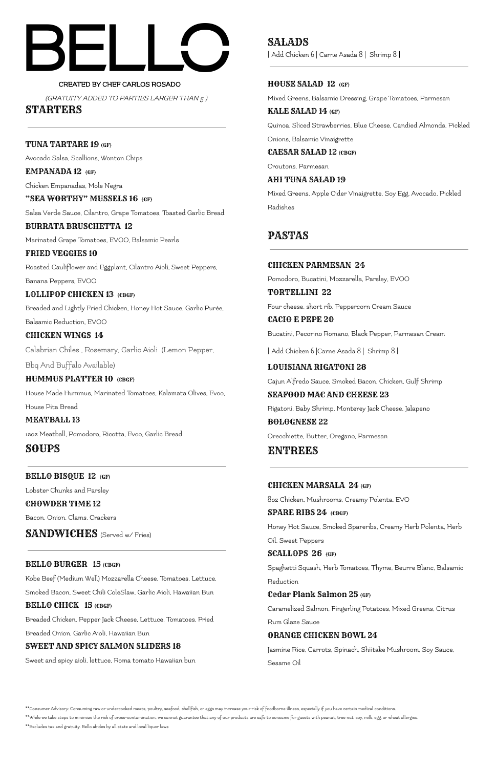CREATED BY CHEF CARLOS ROSADO (GRATUITY ADDED TO PARTIES LARGER THAN 5 )

STARTERS

TUNA TARTARE 19 (GF)

Avocado Salsa, Scallions, Wonton Chips

EMPANADA 12 (GF)

Chicken Empanadas, Mole Negra

"SEA WORTHY" MUSSELS 16 (GF) Salsa Verde Sauce, Cilantro, Grape Tomatoes, Toasted Garlic Bread

LOLLIPOP CHICKEN 13 (CBGF) Breaded and Lightly Fried Chicken, Honey Hot Sauce, Garlic Purée, Balsamic Reduction, EVOO

BURRATA BRUSCHETTA 12

Marinated Grape Tomatoes, EVOO, Balsamic Pearls

FRIED VEGGIES 10 Roasted Cauliflower and Eggplant, Cilantro Aioli, Sweet Peppers, Banana Peppers, EVOO

CHICKEN WINGS 14 Calabrian Chiles , Rosemary, Garlic Aioli (Lemon Pepper,

Bbq And Buffalo Available)

HUMMUS PLATTER 10 (CBGF)

House Made Hummus, Marinated Tomatoes, Kalamata Olives, Evoo, House Pita Bread

MEATBALL 13 12oz Meatball, Pomodoro, Ricotta, Evoo, Garlic Bread

SOUPS

BELLO BISQUE 12 (GF)

Lobster Chunks and Parsley

CHOWDER TIME 12 Bacon, Onion, Clams, Crackers

SANDWICHES (Served w/ Fries)

BELLO BURGER 15 (CBGF)

Kobe Beef (Medium Well) Mozzarella Cheese, Tomatoes, Lettuce,

Smoked Bacon, Sweet Chili ColeSlaw, Garlic Aioli, Hawaiian Bun

#### BELLO CHICK 15 (CBGF)

Breaded Chicken, Pepper Jack Cheese, Lettuce, Tomatoes, Fried

Breaded Onion, Garlic Aioli, Hawaiian Bun

#### SWEET AND SPICY SALMON SLIDERS 18

Sweet and spicy aioli, lettuce, Roma tomato Hawaiian bun

SALADS | Add Chicken 6 | Carne Asada 8 | Shrimp 8 |

### HOUSE SALAD 12 (GF)

Mixed Greens, Balsamic Dressing, Grape Tomatoes, Parmesan

KALE SALAD 14 (GF) Quinoa, Sliced Strawberries, Blue Cheese, Candied Almonds, Pickled

Onions, Balsamic Vinaigrette

CAESAR SALAD 12 (CBGF)

Croutons. Parmesan

AHI TUNA SALAD 19

Mixed Greens, Apple Cider Vinaigrette, Soy Egg, Avocado, Pickled Radishes

# PASTAS

CHICKEN PARMESAN 24 Pomodoro, Bucatini, Mozzarella, Parsley, EVOO TORTELLINI 22 Four cheese, short rib, Peppercorn Cream Sauce CACIO E PEPE 20

Bucatini, Pecorino Romano, Black Pepper, Parmesan Cream

| Add Chicken 6 |Carne Asada 8 | Shrimp 8 |

LOUISIANA RIGATONI 28 Cajun Alfredo Sauce, Smoked Bacon, Chicken, Gulf Shrimp

SEAFOOD MAC AND CHEESE 23 Rigatoni, Baby Shrimp, Monterey Jack Cheese, Jalapeno BOLOGNESE 22

Orecchiette, Butter, Oregano, Parmesan

ENTREES

CHICKEN MARSALA 24 (GF)

8oz Chicken, Mushrooms, Creamy Polenta, EVO

SPARE RIBS 24 (CBGF)

Honey Hot Sauce, Smoked Spareribs, Creamy Herb Polenta, Herb

Oil, Sweet Peppers

SCALLOPS 26 (GF)

Spaghetti Squash, Herb Tomatoes, Thyme, Beurre Blanc, Balsamic Reduction

#### Cedar Plank Salmon 25 (GF)

Caramelized Salmon, Fingerling Potatoes, Mixed Greens, Citrus

Rum Glaze Sauce

#### ORANGE CHICKEN BOWL 24

Jasmine Rice, Carrots, Spinach, Shiitake Mushroom, Soy Sauce,

Sesame Oil

\*\*Consumer Advisory: Consuming raw or undercooked meats, poultry, seafood, shellfish, or eggs may increase your risk of foodborne illness, especially if you have certain medical conditions. \*\*While we take steps to minimize the risk of cross-contamination, we cannot guarantee that any of our products are safe to consume for guests with peanut, tree nut, soy, milk, egg, or wheat allergies. \*\*Excludes tax and gratuity. Bello abides by all state and local liquor laws